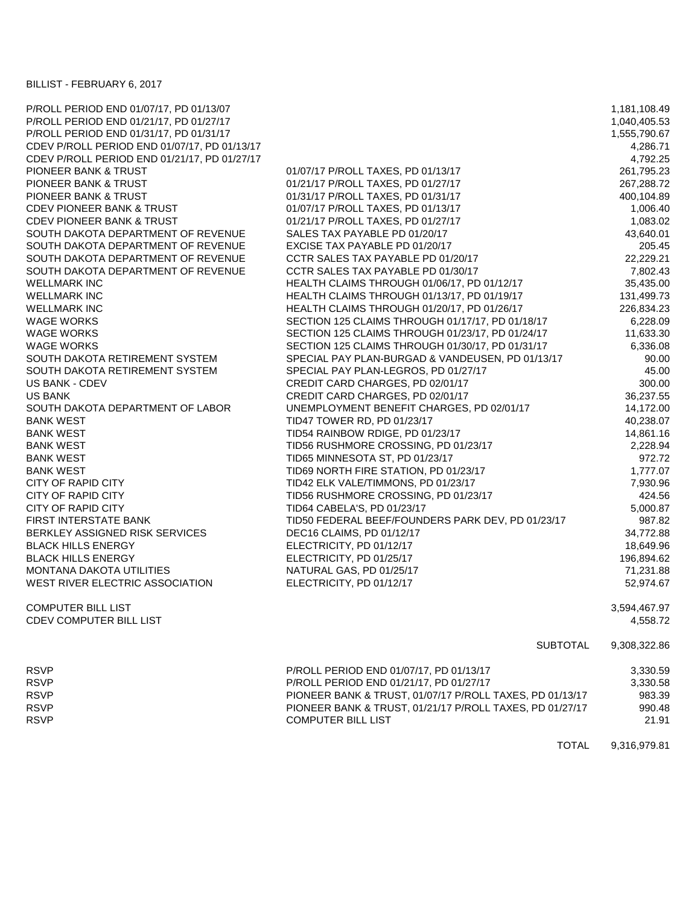## BILLIST - FEBRUARY 6, 2017

| P/ROLL PERIOD END 01/07/17, PD 01/13/07      |                                                          | 1,181,108.49 |
|----------------------------------------------|----------------------------------------------------------|--------------|
| P/ROLL PERIOD END 01/21/17, PD 01/27/17      |                                                          | 1,040,405.53 |
| P/ROLL PERIOD END 01/31/17, PD 01/31/17      |                                                          | 1,555,790.67 |
| CDEV P/ROLL PERIOD END 01/07/17, PD 01/13/17 |                                                          | 4,286.71     |
| CDEV P/ROLL PERIOD END 01/21/17, PD 01/27/17 |                                                          | 4,792.25     |
| PIONEER BANK & TRUST                         | 01/07/17 P/ROLL TAXES, PD 01/13/17                       | 261,795.23   |
| PIONEER BANK & TRUST                         | 01/21/17 P/ROLL TAXES, PD 01/27/17                       | 267,288.72   |
| PIONEER BANK & TRUST                         | 01/31/17 P/ROLL TAXES, PD 01/31/17                       | 400,104.89   |
| <b>CDEV PIONEER BANK &amp; TRUST</b>         | 01/07/17 P/ROLL TAXES, PD 01/13/17                       | 1,006.40     |
| <b>CDEV PIONEER BANK &amp; TRUST</b>         | 01/21/17 P/ROLL TAXES, PD 01/27/17                       | 1,083.02     |
| SOUTH DAKOTA DEPARTMENT OF REVENUE           | SALES TAX PAYABLE PD 01/20/17                            | 43,640.01    |
| SOUTH DAKOTA DEPARTMENT OF REVENUE           | EXCISE TAX PAYABLE PD 01/20/17                           | 205.45       |
| SOUTH DAKOTA DEPARTMENT OF REVENUE           | CCTR SALES TAX PAYABLE PD 01/20/17                       | 22,229.21    |
| SOUTH DAKOTA DEPARTMENT OF REVENUE           | CCTR SALES TAX PAYABLE PD 01/30/17                       | 7,802.43     |
| <b>WELLMARK INC</b>                          | HEALTH CLAIMS THROUGH 01/06/17, PD 01/12/17              | 35,435.00    |
| <b>WELLMARK INC</b>                          | HEALTH CLAIMS THROUGH 01/13/17, PD 01/19/17              | 131,499.73   |
| <b>WELLMARK INC</b>                          | HEALTH CLAIMS THROUGH 01/20/17, PD 01/26/17              | 226,834.23   |
| <b>WAGE WORKS</b>                            | SECTION 125 CLAIMS THROUGH 01/17/17, PD 01/18/17         | 6,228.09     |
| <b>WAGE WORKS</b>                            | SECTION 125 CLAIMS THROUGH 01/23/17, PD 01/24/17         | 11,633.30    |
| <b>WAGE WORKS</b>                            | SECTION 125 CLAIMS THROUGH 01/30/17, PD 01/31/17         | 6,336.08     |
| SOUTH DAKOTA RETIREMENT SYSTEM               | SPECIAL PAY PLAN-BURGAD & VANDEUSEN, PD 01/13/17         | 90.00        |
| SOUTH DAKOTA RETIREMENT SYSTEM               | SPECIAL PAY PLAN-LEGROS, PD 01/27/17                     | 45.00        |
| <b>US BANK - CDEV</b>                        | CREDIT CARD CHARGES, PD 02/01/17                         | 300.00       |
| <b>US BANK</b>                               | CREDIT CARD CHARGES, PD 02/01/17                         | 36,237.55    |
| SOUTH DAKOTA DEPARTMENT OF LABOR             | UNEMPLOYMENT BENEFIT CHARGES, PD 02/01/17                | 14,172.00    |
| <b>BANK WEST</b>                             | TID47 TOWER RD, PD 01/23/17                              | 40,238.07    |
| <b>BANK WEST</b>                             | TID54 RAINBOW RDIGE, PD 01/23/17                         | 14,861.16    |
| <b>BANK WEST</b>                             | TID56 RUSHMORE CROSSING, PD 01/23/17                     | 2,228.94     |
| <b>BANK WEST</b>                             | TID65 MINNESOTA ST, PD 01/23/17                          | 972.72       |
| <b>BANK WEST</b>                             | TID69 NORTH FIRE STATION, PD 01/23/17                    | 1,777.07     |
| CITY OF RAPID CITY                           | TID42 ELK VALE/TIMMONS, PD 01/23/17                      | 7,930.96     |
| <b>CITY OF RAPID CITY</b>                    | TID56 RUSHMORE CROSSING, PD 01/23/17                     | 424.56       |
| <b>CITY OF RAPID CITY</b>                    | TID64 CABELA'S, PD 01/23/17                              | 5,000.87     |
| <b>FIRST INTERSTATE BANK</b>                 | TID50 FEDERAL BEEF/FOUNDERS PARK DEV, PD 01/23/17        | 987.82       |
| BERKLEY ASSIGNED RISK SERVICES               | DEC16 CLAIMS, PD 01/12/17                                | 34,772.88    |
| <b>BLACK HILLS ENERGY</b>                    | ELECTRICITY, PD 01/12/17                                 | 18,649.96    |
| <b>BLACK HILLS ENERGY</b>                    | ELECTRICITY, PD 01/25/17                                 | 196,894.62   |
| MONTANA DAKOTA UTILITIES                     | NATURAL GAS, PD 01/25/17                                 | 71,231.88    |
| WEST RIVER ELECTRIC ASSOCIATION              | ELECTRICITY, PD 01/12/17                                 | 52,974.67    |
| <b>COMPUTER BILL LIST</b>                    |                                                          | 3,594,467.97 |
| CDEV COMPUTER BILL LIST                      |                                                          | 4,558.72     |
|                                              | <b>SUBTOTAL</b>                                          | 9,308,322.86 |
| <b>RSVP</b>                                  | P/ROLL PERIOD END 01/07/17, PD 01/13/17                  | 3,330.59     |
| <b>RSVP</b>                                  | P/ROLL PERIOD END 01/21/17, PD 01/27/17                  | 3,330.58     |
| <b>RSVP</b>                                  | PIONEER BANK & TRUST, 01/07/17 P/ROLL TAXES, PD 01/13/17 | 983.39       |
| <b>RSVP</b>                                  | PIONEER BANK & TRUST, 01/21/17 P/ROLL TAXES, PD 01/27/17 | 990.48       |
| <b>RSVP</b>                                  | COMPUTER BILL LIST                                       | 21.91        |

TOTAL 9,316,979.81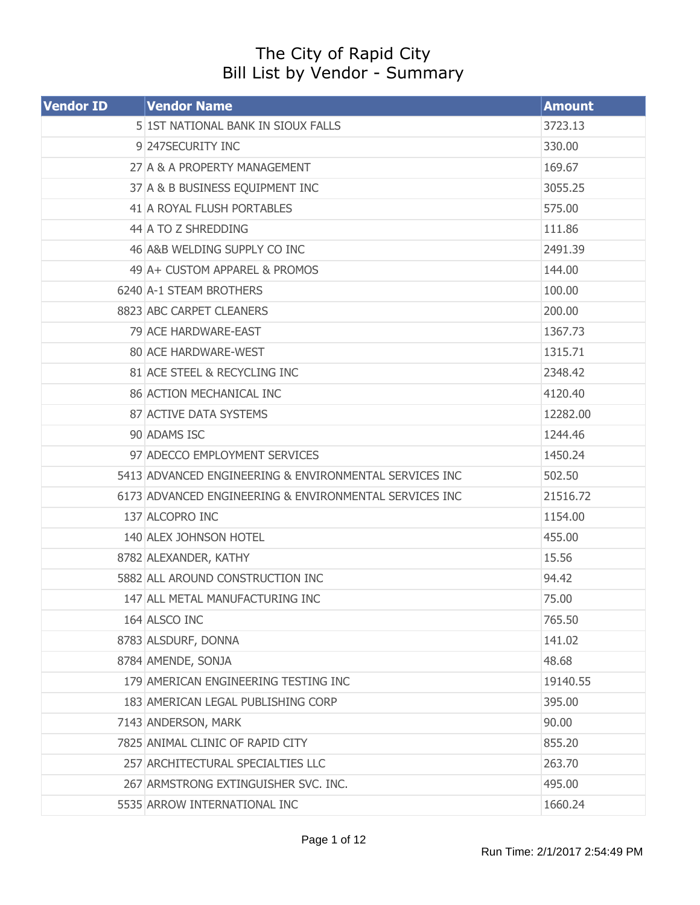## The City of Rapid City Bill List by Vendor - Summary

| <b>Vendor ID</b> | <b>Vendor Name</b>                                     | <b>Amount</b> |
|------------------|--------------------------------------------------------|---------------|
|                  | 5 1ST NATIONAL BANK IN SIOUX FALLS                     | 3723.13       |
|                  | 9 247 SECURITY INC                                     | 330.00        |
|                  | 27 A & A PROPERTY MANAGEMENT                           | 169.67        |
|                  | 37 A & B BUSINESS EQUIPMENT INC                        | 3055.25       |
|                  | 41 A ROYAL FLUSH PORTABLES                             | 575.00        |
|                  | 44 A TO Z SHREDDING                                    | 111.86        |
|                  | 46 A&B WELDING SUPPLY CO INC                           | 2491.39       |
|                  | 49 A + CUSTOM APPAREL & PROMOS                         | 144.00        |
|                  | 6240 A-1 STEAM BROTHERS                                | 100.00        |
|                  | 8823 ABC CARPET CLEANERS                               | 200.00        |
|                  | 79 ACE HARDWARE-EAST                                   | 1367.73       |
|                  | 80 ACE HARDWARE-WEST                                   | 1315.71       |
|                  | 81 ACE STEEL & RECYCLING INC                           | 2348.42       |
|                  | <b>86 ACTION MECHANICAL INC</b>                        | 4120.40       |
|                  | 87 ACTIVE DATA SYSTEMS                                 | 12282.00      |
|                  | 90 ADAMS ISC                                           | 1244.46       |
|                  | 97 ADECCO EMPLOYMENT SERVICES                          | 1450.24       |
|                  | 5413 ADVANCED ENGINEERING & ENVIRONMENTAL SERVICES INC | 502.50        |
|                  | 6173 ADVANCED ENGINEERING & ENVIRONMENTAL SERVICES INC | 21516.72      |
|                  | 137 ALCOPRO INC                                        | 1154.00       |
|                  | 140 ALEX JOHNSON HOTEL                                 | 455.00        |
|                  | 8782 ALEXANDER, KATHY                                  | 15.56         |
|                  | 5882 ALL AROUND CONSTRUCTION INC                       | 94.42         |
|                  | 147 ALL METAL MANUFACTURING INC                        | 75.00         |
|                  | 164 ALSCO INC                                          | 765.50        |
|                  | 8783 ALSDURF, DONNA                                    | 141.02        |
|                  | 8784 AMENDE, SONJA                                     | 48.68         |
|                  | 179 AMERICAN ENGINEERING TESTING INC                   | 19140.55      |
|                  | 183 AMERICAN LEGAL PUBLISHING CORP                     | 395.00        |
|                  | 7143 ANDERSON, MARK                                    | 90.00         |
|                  | 7825 ANIMAL CLINIC OF RAPID CITY                       | 855.20        |
|                  | 257 ARCHITECTURAL SPECIALTIES LLC                      | 263.70        |
|                  | 267 ARMSTRONG EXTINGUISHER SVC. INC.                   | 495.00        |
|                  | 5535 ARROW INTERNATIONAL INC                           | 1660.24       |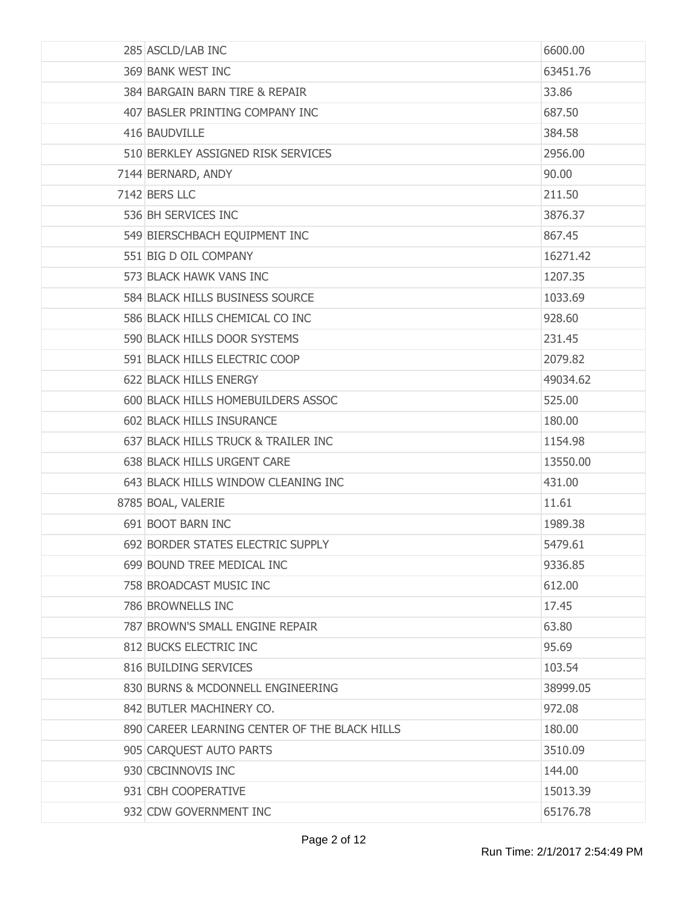| 285 ASCLD/LAB INC                             | 6600.00  |
|-----------------------------------------------|----------|
| 369 BANK WEST INC                             | 63451.76 |
| 384 BARGAIN BARN TIRE & REPAIR                | 33.86    |
| 407 BASLER PRINTING COMPANY INC               | 687.50   |
| 416 BAUDVILLE                                 | 384.58   |
| 510 BERKLEY ASSIGNED RISK SERVICES            | 2956.00  |
| 7144 BERNARD, ANDY                            | 90.00    |
| 7142 BERS LLC                                 | 211.50   |
| 536 BH SERVICES INC                           | 3876.37  |
| 549 BIERSCHBACH EQUIPMENT INC                 | 867.45   |
| 551 BIG D OIL COMPANY                         | 16271.42 |
| 573 BLACK HAWK VANS INC                       | 1207.35  |
| 584 BLACK HILLS BUSINESS SOURCE               | 1033.69  |
| 586 BLACK HILLS CHEMICAL CO INC               | 928,60   |
| 590 BLACK HILLS DOOR SYSTEMS                  | 231.45   |
| 591 BLACK HILLS ELECTRIC COOP                 | 2079.82  |
| 622 BLACK HILLS ENERGY                        | 49034.62 |
| 600 BLACK HILLS HOMEBUILDERS ASSOC            | 525.00   |
| 602 BLACK HILLS INSURANCE                     | 180.00   |
| 637 BLACK HILLS TRUCK & TRAILER INC           | 1154.98  |
| 638 BLACK HILLS URGENT CARE                   | 13550.00 |
| 643 BLACK HILLS WINDOW CLEANING INC           | 431.00   |
| 8785 BOAL, VALERIE                            | 11.61    |
| 691 BOOT BARN INC                             | 1989.38  |
| 692 BORDER STATES ELECTRIC SUPPLY             | 5479.61  |
| 699 BOUND TREE MEDICAL INC                    | 9336.85  |
| 758 BROADCAST MUSIC INC                       | 612.00   |
| 786 BROWNELLS INC                             | 17.45    |
| 787 BROWN'S SMALL ENGINE REPAIR               | 63.80    |
| 812 BUCKS ELECTRIC INC                        | 95.69    |
| 816 BUILDING SERVICES                         | 103.54   |
| 830 BURNS & MCDONNELL ENGINEERING             | 38999.05 |
| 842 BUTLER MACHINERY CO.                      | 972.08   |
| 890 CAREER LEARNING CENTER OF THE BLACK HILLS | 180.00   |
| 905 CARQUEST AUTO PARTS                       | 3510.09  |
| 930 CBCINNOVIS INC                            | 144.00   |
| 931 CBH COOPERATIVE                           | 15013.39 |
| 932 CDW GOVERNMENT INC                        | 65176.78 |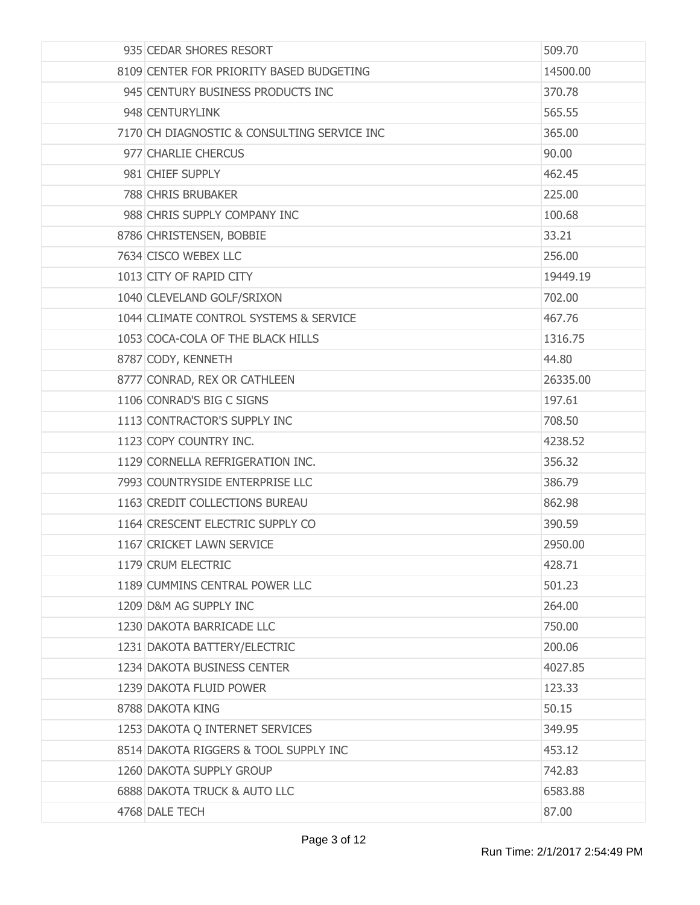| 935 CEDAR SHORES RESORT                     | 509.70   |
|---------------------------------------------|----------|
| 8109 CENTER FOR PRIORITY BASED BUDGETING    | 14500.00 |
| 945 CENTURY BUSINESS PRODUCTS INC           | 370.78   |
| 948 CENTURYLINK                             | 565.55   |
| 7170 CH DIAGNOSTIC & CONSULTING SERVICE INC | 365.00   |
| 977 CHARLIE CHERCUS                         | 90.00    |
| 981 CHIEF SUPPLY                            | 462.45   |
| 788 CHRIS BRUBAKER                          | 225.00   |
| 988 CHRIS SUPPLY COMPANY INC                | 100.68   |
| 8786 CHRISTENSEN, BOBBIE                    | 33.21    |
| 7634 CISCO WEBEX LLC                        | 256.00   |
| 1013 CITY OF RAPID CITY                     | 19449.19 |
| 1040 CLEVELAND GOLF/SRIXON                  | 702.00   |
| 1044 CLIMATE CONTROL SYSTEMS & SERVICE      | 467.76   |
| 1053 COCA-COLA OF THE BLACK HILLS           | 1316.75  |
| 8787 CODY, KENNETH                          | 44.80    |
| 8777 CONRAD, REX OR CATHLEEN                | 26335.00 |
| 1106 CONRAD'S BIG C SIGNS                   | 197.61   |
| 1113 CONTRACTOR'S SUPPLY INC                | 708.50   |
| 1123 COPY COUNTRY INC.                      | 4238.52  |
| 1129 CORNELLA REFRIGERATION INC.            | 356.32   |
| 7993 COUNTRYSIDE ENTERPRISE LLC             | 386.79   |
| 1163 CREDIT COLLECTIONS BUREAU              | 862.98   |
| 1164 CRESCENT ELECTRIC SUPPLY CO            | 390.59   |
| 1167 CRICKET LAWN SERVICE                   | 2950.00  |
| 1179 CRUM ELECTRIC                          | 428.71   |
| 1189 CUMMINS CENTRAL POWER LLC              | 501.23   |
| 1209 D&M AG SUPPLY INC                      | 264.00   |
| 1230 DAKOTA BARRICADE LLC                   | 750.00   |
| 1231 DAKOTA BATTERY/ELECTRIC                | 200.06   |
| 1234 DAKOTA BUSINESS CENTER                 | 4027.85  |
| 1239 DAKOTA FLUID POWER                     | 123.33   |
| 8788 DAKOTA KING                            | 50.15    |
| 1253 DAKOTA Q INTERNET SERVICES             | 349.95   |
| 8514 DAKOTA RIGGERS & TOOL SUPPLY INC       | 453.12   |
| 1260 DAKOTA SUPPLY GROUP                    | 742.83   |
| 6888 DAKOTA TRUCK & AUTO LLC                | 6583.88  |
| 4768 DALE TECH                              | 87.00    |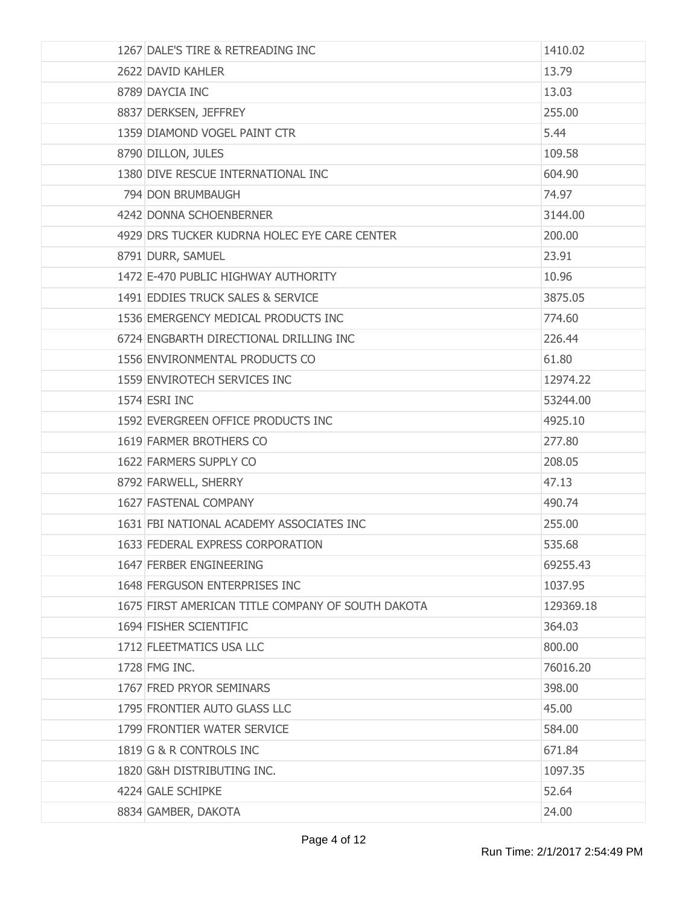| 1267 DALE'S TIRE & RETREADING INC                 | 1410.02   |
|---------------------------------------------------|-----------|
| 2622 DAVID KAHLER                                 | 13.79     |
| 8789 DAYCIA INC                                   | 13.03     |
| 8837 DERKSEN, JEFFREY                             | 255.00    |
| 1359 DIAMOND VOGEL PAINT CTR                      | 5.44      |
| 8790 DILLON, JULES                                | 109.58    |
| 1380 DIVE RESCUE INTERNATIONAL INC                | 604.90    |
| 794 DON BRUMBAUGH                                 | 74.97     |
| 4242 DONNA SCHOENBERNER                           | 3144.00   |
| 4929 DRS TUCKER KUDRNA HOLEC EYE CARE CENTER      | 200.00    |
| 8791 DURR, SAMUEL                                 | 23.91     |
| 1472 E-470 PUBLIC HIGHWAY AUTHORITY               | 10.96     |
| 1491 EDDIES TRUCK SALES & SERVICE                 | 3875.05   |
| 1536 EMERGENCY MEDICAL PRODUCTS INC               | 774.60    |
| 6724 ENGBARTH DIRECTIONAL DRILLING INC            | 226.44    |
| 1556 ENVIRONMENTAL PRODUCTS CO                    | 61.80     |
| 1559 ENVIROTECH SERVICES INC                      | 12974.22  |
| 1574 ESRI INC                                     | 53244.00  |
| 1592 EVERGREEN OFFICE PRODUCTS INC                | 4925.10   |
| 1619 FARMER BROTHERS CO                           | 277.80    |
| 1622 FARMERS SUPPLY CO                            | 208.05    |
| 8792 FARWELL, SHERRY                              | 47.13     |
| 1627 FASTENAL COMPANY                             | 490.74    |
| 1631 FBI NATIONAL ACADEMY ASSOCIATES INC          | 255.00    |
| 1633 FEDERAL EXPRESS CORPORATION                  | 535.68    |
| 1647 FERBER ENGINEERING                           | 69255.43  |
| 1648 FERGUSON ENTERPRISES INC                     | 1037.95   |
| 1675 FIRST AMERICAN TITLE COMPANY OF SOUTH DAKOTA | 129369.18 |
| 1694 FISHER SCIENTIFIC                            | 364.03    |
| 1712 FLEETMATICS USA LLC                          | 800,00    |
| 1728 FMG INC.                                     | 76016.20  |
| 1767 FRED PRYOR SEMINARS                          | 398.00    |
| 1795 FRONTIER AUTO GLASS LLC                      | 45.00     |
| 1799 FRONTIER WATER SERVICE                       | 584.00    |
| 1819 G & R CONTROLS INC                           | 671.84    |
| 1820 G&H DISTRIBUTING INC.                        | 1097.35   |
| 4224 GALE SCHIPKE                                 | 52.64     |
| 8834 GAMBER, DAKOTA                               | 24.00     |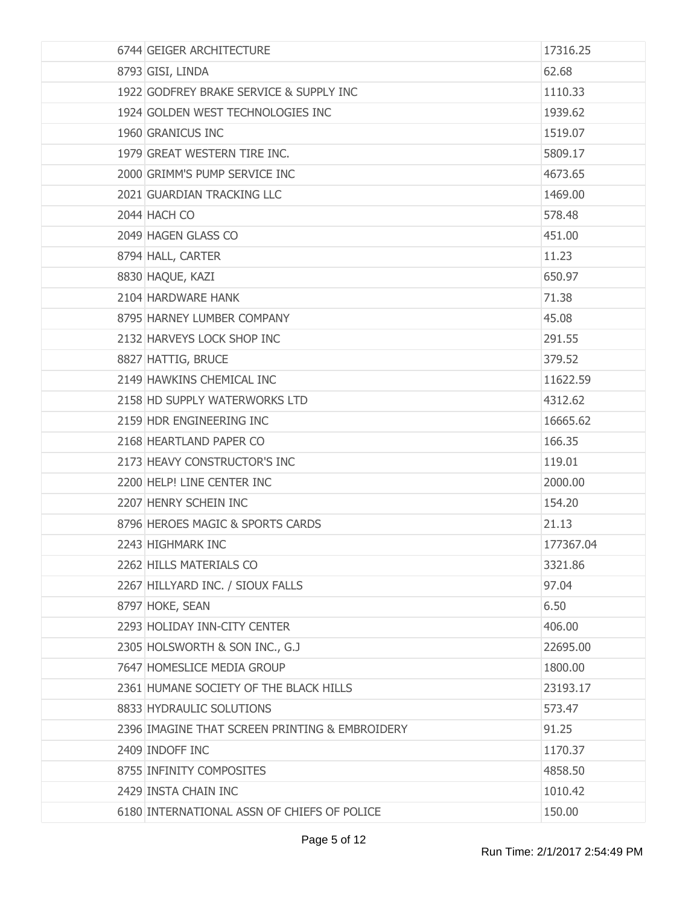| 6744 GEIGER ARCHITECTURE                       | 17316.25  |
|------------------------------------------------|-----------|
| 8793 GISI, LINDA                               | 62.68     |
| 1922 GODFREY BRAKE SERVICE & SUPPLY INC        | 1110.33   |
| 1924 GOLDEN WEST TECHNOLOGIES INC              | 1939.62   |
| 1960 GRANICUS INC                              | 1519.07   |
| 1979 GREAT WESTERN TIRE INC.                   | 5809.17   |
| 2000 GRIMM'S PUMP SERVICE INC                  | 4673.65   |
| 2021 GUARDIAN TRACKING LLC                     | 1469.00   |
| 2044 HACH CO                                   | 578.48    |
| 2049 HAGEN GLASS CO                            | 451.00    |
| 8794 HALL, CARTER                              | 11.23     |
| 8830 HAQUE, KAZI                               | 650.97    |
| 2104 HARDWARE HANK                             | 71.38     |
| 8795 HARNEY LUMBER COMPANY                     | 45.08     |
| 2132 HARVEYS LOCK SHOP INC                     | 291.55    |
| 8827 HATTIG, BRUCE                             | 379.52    |
| 2149 HAWKINS CHEMICAL INC                      | 11622.59  |
| 2158 HD SUPPLY WATERWORKS LTD                  | 4312.62   |
| 2159 HDR ENGINEERING INC                       | 16665.62  |
| 2168 HEARTLAND PAPER CO                        | 166.35    |
| 2173 HEAVY CONSTRUCTOR'S INC                   | 119.01    |
| 2200 HELP! LINE CENTER INC                     | 2000.00   |
| 2207 HENRY SCHEIN INC                          | 154.20    |
| 8796 HEROES MAGIC & SPORTS CARDS               | 21.13     |
| 2243 HIGHMARK INC                              | 177367.04 |
| 2262 HILLS MATERIALS CO                        | 3321.86   |
| 2267 HILLYARD INC. / SIOUX FALLS               | 97.04     |
| 8797 HOKE, SEAN                                | 6.50      |
| 2293 HOLIDAY INN-CITY CENTER                   | 406.00    |
| 2305 HOLSWORTH & SON INC., G.J                 | 22695.00  |
| 7647 HOMESLICE MEDIA GROUP                     | 1800.00   |
| 2361 HUMANE SOCIETY OF THE BLACK HILLS         | 23193.17  |
| 8833 HYDRAULIC SOLUTIONS                       | 573.47    |
| 2396 IMAGINE THAT SCREEN PRINTING & EMBROIDERY | 91.25     |
| 2409 INDOFF INC                                | 1170.37   |
| 8755 INFINITY COMPOSITES                       | 4858.50   |
| 2429 INSTA CHAIN INC                           | 1010.42   |
| 6180 INTERNATIONAL ASSN OF CHIEFS OF POLICE    | 150.00    |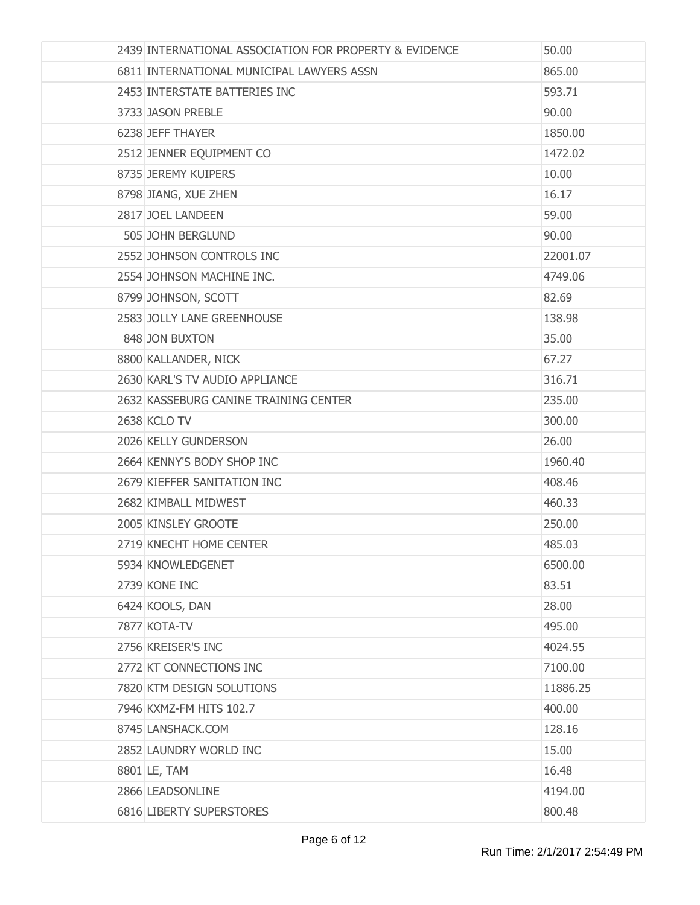| 2439 INTERNATIONAL ASSOCIATION FOR PROPERTY & EVIDENCE | 50.00    |
|--------------------------------------------------------|----------|
| 6811 INTERNATIONAL MUNICIPAL LAWYERS ASSN              | 865.00   |
| 2453 INTERSTATE BATTERIES INC                          | 593.71   |
| 3733 JASON PREBLE                                      | 90.00    |
| 6238 JEFF THAYER                                       | 1850.00  |
| 2512 JENNER EQUIPMENT CO                               | 1472.02  |
| 8735 JEREMY KUIPERS                                    | 10.00    |
| 8798 JIANG, XUE ZHEN                                   | 16.17    |
| 2817 JOEL LANDEEN                                      | 59.00    |
| 505 JOHN BERGLUND                                      | 90.00    |
| 2552 JOHNSON CONTROLS INC                              | 22001.07 |
| 2554 JOHNSON MACHINE INC.                              | 4749.06  |
| 8799 JOHNSON, SCOTT                                    | 82.69    |
| 2583 JOLLY LANE GREENHOUSE                             | 138.98   |
| 848 JON BUXTON                                         | 35.00    |
| 8800 KALLANDER, NICK                                   | 67.27    |
| 2630 KARL'S TV AUDIO APPLIANCE                         | 316.71   |
| 2632 KASSEBURG CANINE TRAINING CENTER                  | 235.00   |
| 2638 KCLO TV                                           | 300.00   |
| 2026 KELLY GUNDERSON                                   | 26.00    |
| 2664 KENNY'S BODY SHOP INC                             | 1960.40  |
| 2679 KIEFFER SANITATION INC                            | 408.46   |
| 2682 KIMBALL MIDWEST                                   | 460.33   |
| 2005 KINSLEY GROOTE                                    | 250.00   |
| 2719 KNECHT HOME CENTER                                | 485.03   |
| 5934 KNOWLEDGENET                                      | 6500.00  |
| 2739 KONE INC                                          | 83.51    |
| 6424 KOOLS, DAN                                        | 28.00    |
| 7877 KOTA-TV                                           | 495.00   |
| 2756 KREISER'S INC                                     | 4024.55  |
| 2772 KT CONNECTIONS INC                                | 7100.00  |
| 7820 KTM DESIGN SOLUTIONS                              | 11886.25 |
| 7946 KXMZ-FM HITS 102.7                                | 400.00   |
| 8745 LANSHACK.COM                                      | 128.16   |
| 2852 LAUNDRY WORLD INC                                 | 15.00    |
| 8801 LE, TAM                                           | 16.48    |
| 2866 LEADSONLINE                                       | 4194.00  |
| 6816 LIBERTY SUPERSTORES                               | 800.48   |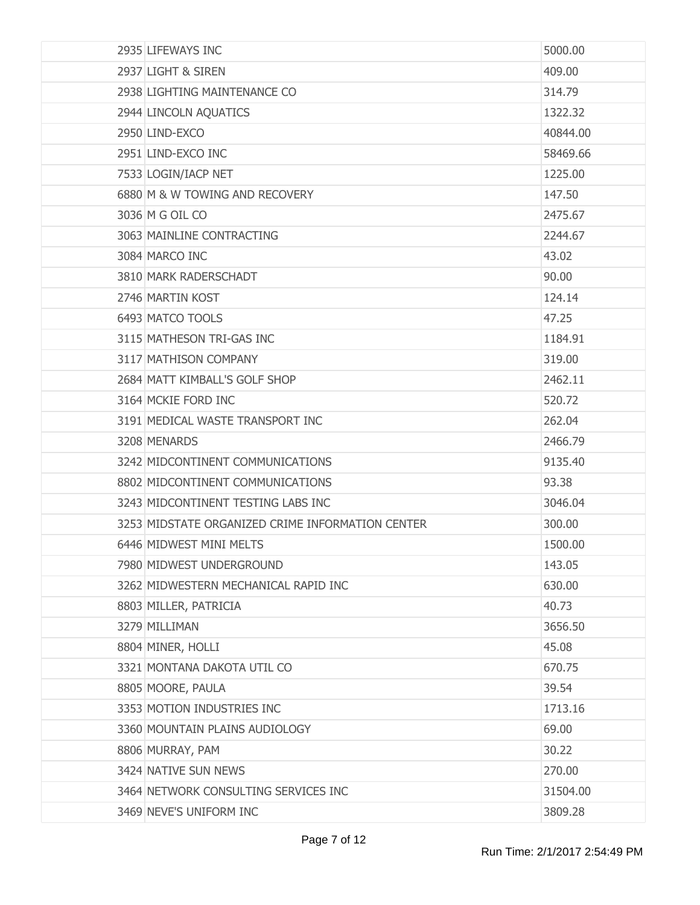| 2935 LIFEWAYS INC                                | 5000.00  |
|--------------------------------------------------|----------|
| 2937 LIGHT & SIREN                               | 409.00   |
| 2938 LIGHTING MAINTENANCE CO                     | 314.79   |
| 2944 LINCOLN AQUATICS                            | 1322.32  |
| 2950 LIND-EXCO                                   | 40844.00 |
| 2951 LIND-EXCO INC                               | 58469.66 |
| 7533 LOGIN/IACP NET                              | 1225,00  |
| 6880 M & W TOWING AND RECOVERY                   | 147.50   |
| 3036 M G OIL CO                                  | 2475.67  |
| 3063 MAINLINE CONTRACTING                        | 2244.67  |
| 3084 MARCO INC                                   | 43.02    |
| 3810 MARK RADERSCHADT                            | 90.00    |
| 2746 MARTIN KOST                                 | 124.14   |
| 6493 MATCO TOOLS                                 | 47.25    |
| 3115 MATHESON TRI-GAS INC                        | 1184.91  |
| 3117 MATHISON COMPANY                            | 319.00   |
| 2684 MATT KIMBALL'S GOLF SHOP                    | 2462.11  |
| 3164 MCKIE FORD INC                              | 520.72   |
| 3191 MEDICAL WASTE TRANSPORT INC                 | 262.04   |
| 3208 MENARDS                                     | 2466.79  |
| 3242 MIDCONTINENT COMMUNICATIONS                 | 9135.40  |
| 8802 MIDCONTINENT COMMUNICATIONS                 | 93.38    |
| 3243 MIDCONTINENT TESTING LABS INC               | 3046.04  |
| 3253 MIDSTATE ORGANIZED CRIME INFORMATION CENTER | 300.00   |
| 6446 MIDWEST MINI MELTS                          | 1500.00  |
| 7980 MIDWEST UNDERGROUND                         | 143.05   |
| 3262 MIDWESTERN MECHANICAL RAPID INC             | 630.00   |
| 8803 MILLER, PATRICIA                            | 40.73    |
| 3279 MILLIMAN                                    | 3656.50  |
| 8804 MINER, HOLLI                                | 45.08    |
| 3321 MONTANA DAKOTA UTIL CO                      | 670.75   |
| 8805 MOORE, PAULA                                | 39.54    |
| 3353 MOTION INDUSTRIES INC                       | 1713.16  |
| 3360 MOUNTAIN PLAINS AUDIOLOGY                   | 69.00    |
| 8806 MURRAY, PAM                                 | 30.22    |
| 3424 NATIVE SUN NEWS                             | 270.00   |
| 3464 NETWORK CONSULTING SERVICES INC             | 31504.00 |
| 3469 NEVE'S UNIFORM INC                          | 3809.28  |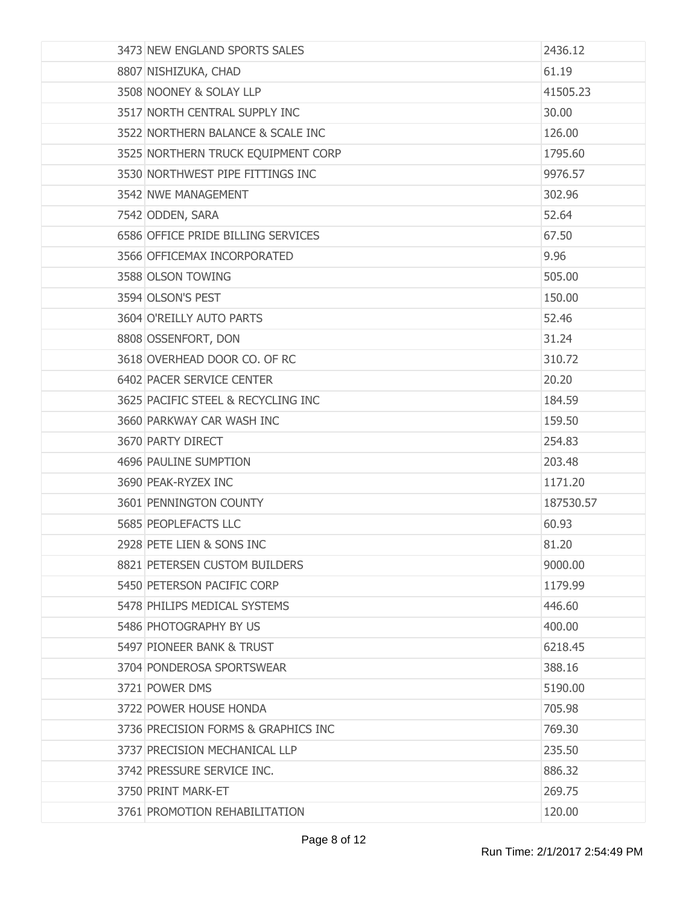| 3473 NEW ENGLAND SPORTS SALES       | 2436.12   |
|-------------------------------------|-----------|
| 8807 NISHIZUKA, CHAD                | 61.19     |
| 3508 NOONEY & SOLAY LLP             | 41505.23  |
| 3517 NORTH CENTRAL SUPPLY INC       | 30.00     |
| 3522 NORTHERN BALANCE & SCALE INC   | 126.00    |
| 3525 NORTHERN TRUCK EQUIPMENT CORP  | 1795.60   |
| 3530 NORTHWEST PIPE FITTINGS INC    | 9976.57   |
| 3542 NWE MANAGEMENT                 | 302.96    |
| 7542 ODDEN, SARA                    | 52.64     |
| 6586 OFFICE PRIDE BILLING SERVICES  | 67.50     |
| 3566 OFFICEMAX INCORPORATED         | 9.96      |
| 3588 OLSON TOWING                   | 505.00    |
| 3594 OLSON'S PEST                   | 150.00    |
| 3604 O'REILLY AUTO PARTS            | 52.46     |
| 8808 OSSENFORT, DON                 | 31.24     |
| 3618 OVERHEAD DOOR CO. OF RC        | 310.72    |
| 6402 PACER SERVICE CENTER           | 20.20     |
| 3625 PACIFIC STEEL & RECYCLING INC  | 184.59    |
| 3660 PARKWAY CAR WASH INC           | 159.50    |
| 3670 PARTY DIRECT                   | 254.83    |
| 4696 PAULINE SUMPTION               | 203.48    |
| 3690 PEAK-RYZEX INC                 | 1171.20   |
| 3601 PENNINGTON COUNTY              | 187530.57 |
| 5685 PEOPLEFACTS LLC                | 60.93     |
| 2928 PETE LIEN & SONS INC           | 81.20     |
| 8821 PETERSEN CUSTOM BUILDERS       | 9000.00   |
| 5450 PETERSON PACIFIC CORP          | 1179.99   |
| 5478 PHILIPS MEDICAL SYSTEMS        | 446.60    |
| 5486 PHOTOGRAPHY BY US              | 400.00    |
| 5497 PIONEER BANK & TRUST           | 6218.45   |
| 3704 PONDEROSA SPORTSWEAR           | 388.16    |
| 3721 POWER DMS                      | 5190.00   |
| 3722 POWER HOUSE HONDA              | 705.98    |
| 3736 PRECISION FORMS & GRAPHICS INC | 769.30    |
| 3737 PRECISION MECHANICAL LLP       | 235.50    |
| 3742 PRESSURE SERVICE INC.          | 886.32    |
| 3750 PRINT MARK-ET                  | 269.75    |
| 3761 PROMOTION REHABILITATION       | 120.00    |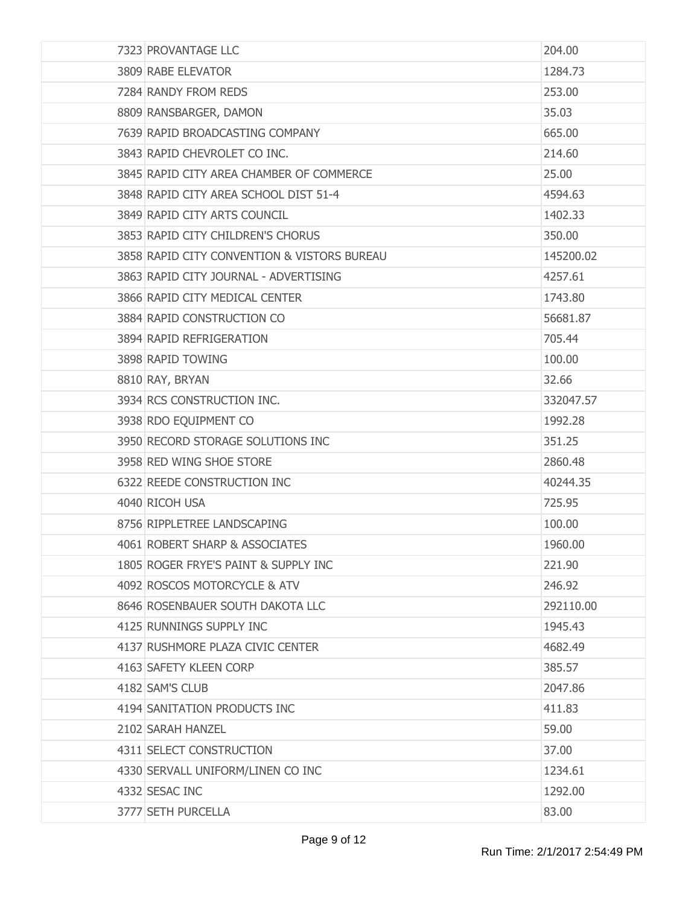| 7323 PROVANTAGE LLC                         | 204.00    |
|---------------------------------------------|-----------|
| 3809 RABE ELEVATOR                          | 1284.73   |
| 7284 RANDY FROM REDS                        | 253.00    |
| 8809 RANSBARGER, DAMON                      | 35.03     |
| 7639 RAPID BROADCASTING COMPANY             | 665.00    |
| 3843 RAPID CHEVROLET CO INC.                | 214.60    |
| 3845 RAPID CITY AREA CHAMBER OF COMMERCE    | 25.00     |
| 3848 RAPID CITY AREA SCHOOL DIST 51-4       | 4594.63   |
| 3849 RAPID CITY ARTS COUNCIL                | 1402.33   |
| 3853 RAPID CITY CHILDREN'S CHORUS           | 350.00    |
| 3858 RAPID CITY CONVENTION & VISTORS BUREAU | 145200.02 |
| 3863 RAPID CITY JOURNAL - ADVERTISING       | 4257.61   |
| 3866 RAPID CITY MEDICAL CENTER              | 1743.80   |
| 3884 RAPID CONSTRUCTION CO                  | 56681.87  |
| 3894 RAPID REFRIGERATION                    | 705.44    |
| 3898 RAPID TOWING                           | 100.00    |
| 8810 RAY, BRYAN                             | 32.66     |
| 3934 RCS CONSTRUCTION INC.                  | 332047.57 |
| 3938 RDO EQUIPMENT CO                       | 1992.28   |
| 3950 RECORD STORAGE SOLUTIONS INC           | 351.25    |
| 3958 RED WING SHOE STORE                    | 2860.48   |
| 6322 REEDE CONSTRUCTION INC                 | 40244.35  |
| 4040 RICOH USA                              | 725.95    |
| 8756 RIPPLETREE LANDSCAPING                 | 100.00    |
| 4061 ROBERT SHARP & ASSOCIATES              | 1960.00   |
| 1805 ROGER FRYE'S PAINT & SUPPLY INC        | 221.90    |
| 4092 ROSCOS MOTORCYCLE & ATV                | 246.92    |
| 8646 ROSENBAUER SOUTH DAKOTA LLC            | 292110.00 |
| 4125 RUNNINGS SUPPLY INC                    | 1945.43   |
| 4137 RUSHMORE PLAZA CIVIC CENTER            | 4682.49   |
| 4163 SAFETY KLEEN CORP                      | 385.57    |
| 4182 SAM'S CLUB                             | 2047.86   |
| 4194 SANITATION PRODUCTS INC                | 411.83    |
| 2102 SARAH HANZEL                           | 59.00     |
| 4311 SELECT CONSTRUCTION                    | 37.00     |
| 4330 SERVALL UNIFORM/LINEN CO INC           | 1234.61   |
| 4332 SESAC INC                              | 1292.00   |
| 3777 SETH PURCELLA                          | 83.00     |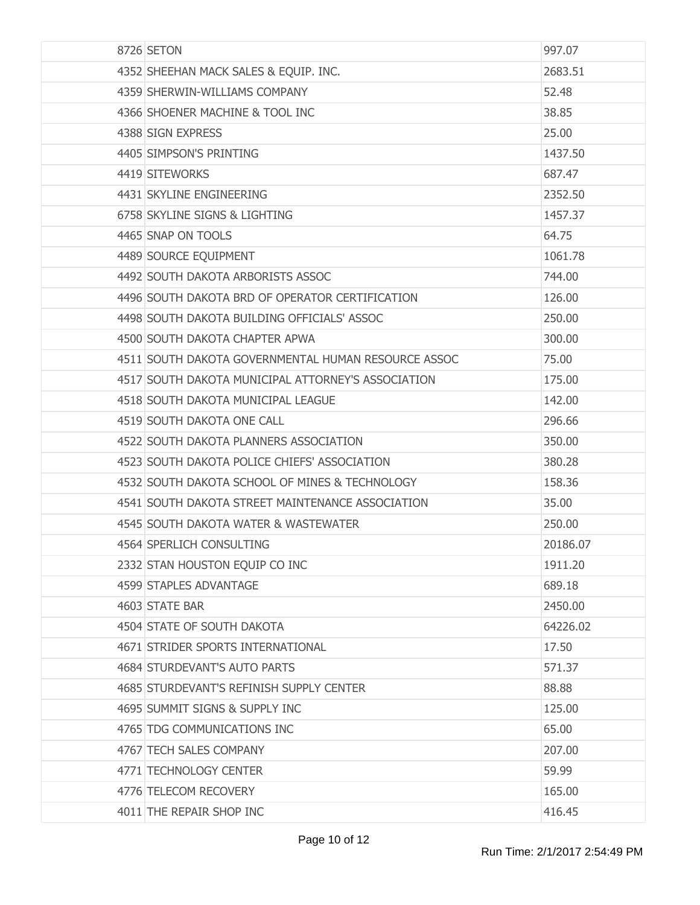| 8726 SETON                                          | 997.07   |
|-----------------------------------------------------|----------|
| 4352 SHEEHAN MACK SALES & EQUIP. INC.               | 2683.51  |
| 4359 SHERWIN-WILLIAMS COMPANY                       | 52.48    |
| 4366 SHOENER MACHINE & TOOL INC                     | 38.85    |
| 4388 SIGN EXPRESS                                   | 25.00    |
| 4405 SIMPSON'S PRINTING                             | 1437.50  |
| 4419 SITEWORKS                                      | 687.47   |
| 4431 SKYLINE ENGINEERING                            | 2352.50  |
| 6758 SKYLINE SIGNS & LIGHTING                       | 1457.37  |
| 4465 SNAP ON TOOLS                                  | 64.75    |
| 4489 SOURCE EQUIPMENT                               | 1061.78  |
| 4492 SOUTH DAKOTA ARBORISTS ASSOC                   | 744.00   |
| 4496 SOUTH DAKOTA BRD OF OPERATOR CERTIFICATION     | 126.00   |
| 4498 SOUTH DAKOTA BUILDING OFFICIALS' ASSOC         | 250.00   |
| 4500 SOUTH DAKOTA CHAPTER APWA                      | 300.00   |
| 4511 SOUTH DAKOTA GOVERNMENTAL HUMAN RESOURCE ASSOC | 75.00    |
| 4517 SOUTH DAKOTA MUNICIPAL ATTORNEY'S ASSOCIATION  | 175.00   |
| 4518 SOUTH DAKOTA MUNICIPAL LEAGUE                  | 142.00   |
| 4519 SOUTH DAKOTA ONE CALL                          | 296.66   |
| 4522 SOUTH DAKOTA PLANNERS ASSOCIATION              | 350.00   |
| 4523 SOUTH DAKOTA POLICE CHIEFS' ASSOCIATION        | 380.28   |
| 4532 SOUTH DAKOTA SCHOOL OF MINES & TECHNOLOGY      | 158.36   |
| 4541 SOUTH DAKOTA STREET MAINTENANCE ASSOCIATION    | 35.00    |
| 4545 SOUTH DAKOTA WATER & WASTEWATER                | 250.00   |
| 4564 SPERLICH CONSULTING                            | 20186.07 |
| 2332 STAN HOUSTON EQUIP CO INC                      | 1911.20  |
| 4599 STAPLES ADVANTAGE                              | 689.18   |
| 4603 STATE BAR                                      | 2450.00  |
| 4504 STATE OF SOUTH DAKOTA                          | 64226.02 |
| 4671 STRIDER SPORTS INTERNATIONAL                   | 17.50    |
| <b>4684 STURDEVANT'S AUTO PARTS</b>                 | 571.37   |
| 4685 STURDEVANT'S REFINISH SUPPLY CENTER            | 88.88    |
| 4695 SUMMIT SIGNS & SUPPLY INC                      | 125.00   |
| 4765 TDG COMMUNICATIONS INC                         | 65.00    |
| 4767 TECH SALES COMPANY                             | 207.00   |
| 4771 TECHNOLOGY CENTER                              | 59.99    |
| 4776 TELECOM RECOVERY                               | 165.00   |
| 4011 THE REPAIR SHOP INC                            | 416.45   |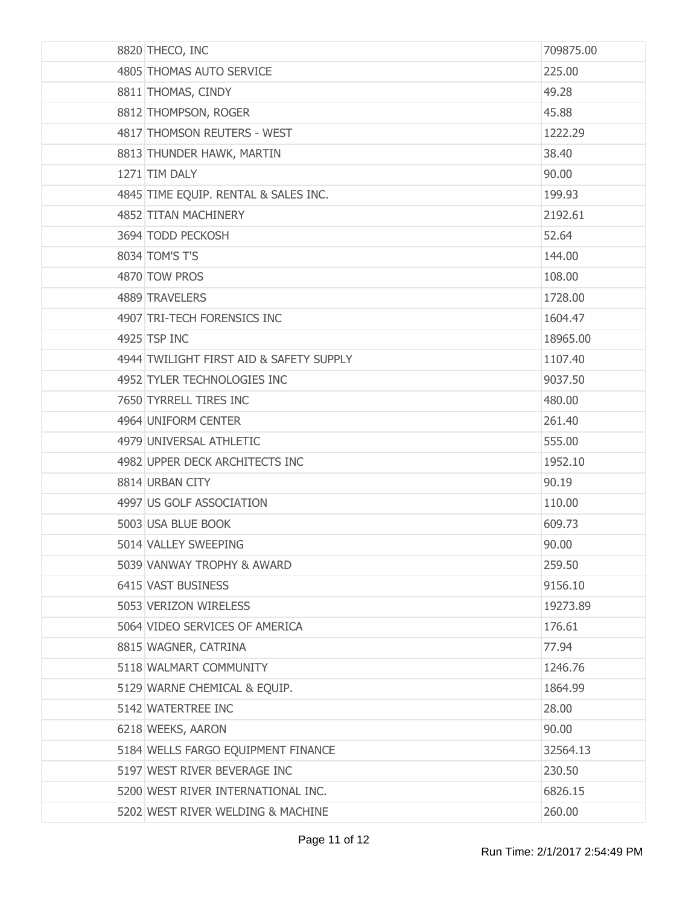| 8820 THECO, INC                         | 709875.00 |
|-----------------------------------------|-----------|
| 4805 THOMAS AUTO SERVICE                | 225.00    |
| 8811 THOMAS, CINDY                      | 49.28     |
| 8812 THOMPSON, ROGER                    | 45.88     |
| 4817 THOMSON REUTERS - WEST             | 1222.29   |
| 8813 THUNDER HAWK, MARTIN               | 38.40     |
| 1271 TIM DALY                           | 90.00     |
| 4845 TIME EQUIP. RENTAL & SALES INC.    | 199.93    |
| 4852 TITAN MACHINERY                    | 2192.61   |
| 3694 TODD PECKOSH                       | 52.64     |
| 8034 TOM'S T'S                          | 144.00    |
| 4870 TOW PROS                           | 108.00    |
| 4889 TRAVELERS                          | 1728.00   |
| 4907 TRI-TECH FORENSICS INC             | 1604.47   |
| 4925 TSP INC                            | 18965.00  |
| 4944 TWILIGHT FIRST AID & SAFETY SUPPLY | 1107.40   |
| 4952 TYLER TECHNOLOGIES INC             | 9037.50   |
| 7650 TYRRELL TIRES INC                  | 480.00    |
| 4964 UNIFORM CENTER                     | 261.40    |
| 4979 UNIVERSAL ATHLETIC                 | 555.00    |
| 4982 UPPER DECK ARCHITECTS INC          | 1952.10   |
| 8814 URBAN CITY                         | 90.19     |
| 4997 US GOLF ASSOCIATION                | 110.00    |
| 5003 USA BLUE BOOK                      | 609.73    |
| 5014 VALLEY SWEEPING                    | 90.00     |
| 5039 VANWAY TROPHY & AWARD              | 259.50    |
| 6415 VAST BUSINESS                      | 9156.10   |
| 5053 VERIZON WIRELESS                   | 19273.89  |
| 5064 VIDEO SERVICES OF AMERICA          | 176.61    |
| 8815 WAGNER, CATRINA                    | 77.94     |
| 5118 WALMART COMMUNITY                  | 1246.76   |
| 5129 WARNE CHEMICAL & EQUIP.            | 1864.99   |
| 5142 WATERTREE INC                      | 28.00     |
| 6218 WEEKS, AARON                       | 90.00     |
| 5184 WELLS FARGO EQUIPMENT FINANCE      | 32564.13  |
| 5197 WEST RIVER BEVERAGE INC            | 230.50    |
| 5200 WEST RIVER INTERNATIONAL INC.      | 6826.15   |
| 5202 WEST RIVER WELDING & MACHINE       | 260.00    |